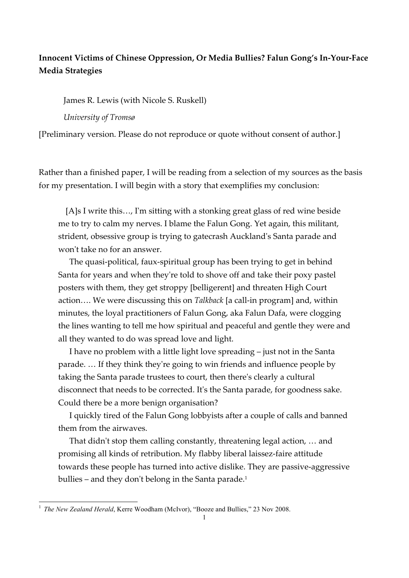## **Innocent Victims of Chinese Oppression, Or Media Bullies? Falun Gong's In-Your-Face Media Strategies**

James R. Lewis (with Nicole S. Ruskell) *University of Tromsø*

[Preliminary version. Please do not reproduce or quote without consent of author.]

Rather than a finished paper, I will be reading from a selection of my sources as the basis for my presentation. I will begin with a story that exemplifies my conclusion:

 [A]s I write this…, I'm sitting with a stonking great glass of red wine beside me to try to calm my nerves. I blame the Falun Gong. Yet again, this militant, strident, obsessive group is trying to gatecrash Auckland's Santa parade and won't take no for an answer.

 The quasi-political, faux-spiritual group has been trying to get in behind Santa for years and when they're told to shove off and take their poxy pastel posters with them, they get stroppy [belligerent] and threaten High Court action…. We were discussing this on *Talkback* [a call-in program] and, within minutes, the loyal practitioners of Falun Gong, aka Falun Dafa, were clogging the lines wanting to tell me how spiritual and peaceful and gentle they were and all they wanted to do was spread love and light.

 I have no problem with a little light love spreading – just not in the Santa parade. … If they think they're going to win friends and influence people by taking the Santa parade trustees to court, then there's clearly a cultural disconnect that needs to be corrected. It's the Santa parade, for goodness sake. Could there be a more benign organisation?

 I quickly tired of the Falun Gong lobbyists after a couple of calls and banned them from the airwaves.

 That didn't stop them calling constantly, threatening legal action, … and promising all kinds of retribution. My flabby liberal laissez-faire attitude towards these people has turned into active dislike. They are passive-aggressive bullies - and they don't belong in the Santa parade.<sup>1</sup>

<sup>&</sup>lt;sup>1</sup> *The New Zealand Herald*, Kerre Woodham (McIvor), "Booze and Bullies," 23 Nov 2008.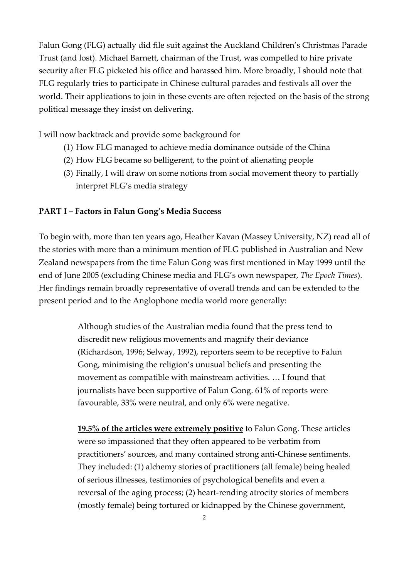Falun Gong (FLG) actually did file suit against the Auckland Children's Christmas Parade Trust (and lost). Michael Barnett, chairman of the Trust, was compelled to hire private security after FLG picketed his office and harassed him. More broadly, I should note that FLG regularly tries to participate in Chinese cultural parades and festivals all over the world. Their applications to join in these events are often rejected on the basis of the strong political message they insist on delivering.

I will now backtrack and provide some background for

- (1) How FLG managed to achieve media dominance outside of the China
- (2) How FLG became so belligerent, to the point of alienating people
- (3) Finally, I will draw on some notions from social movement theory to partially interpret FLG's media strategy

## **PART I – Factors in Falun Gong's Media Success**

To begin with, more than ten years ago, Heather Kavan (Massey University, NZ) read all of the stories with more than a minimum mention of FLG published in Australian and New Zealand newspapers from the time Falun Gong was first mentioned in May 1999 until the end of June 2005 (excluding Chinese media and FLG's own newspaper, *The Epoch Times*). Her findings remain broadly representative of overall trends and can be extended to the present period and to the Anglophone media world more generally:

> Although studies of the Australian media found that the press tend to discredit new religious movements and magnify their deviance (Richardson, 1996; Selway, 1992), reporters seem to be receptive to Falun Gong, minimising the religion's unusual beliefs and presenting the movement as compatible with mainstream activities. … I found that journalists have been supportive of Falun Gong. 61% of reports were favourable, 33% were neutral, and only 6% were negative.

**19.5% of the articles were extremely positive** to Falun Gong. These articles were so impassioned that they often appeared to be verbatim from practitioners' sources, and many contained strong anti-Chinese sentiments. They included: (1) alchemy stories of practitioners (all female) being healed of serious illnesses, testimonies of psychological benefits and even a reversal of the aging process; (2) heart-rending atrocity stories of members (mostly female) being tortured or kidnapped by the Chinese government,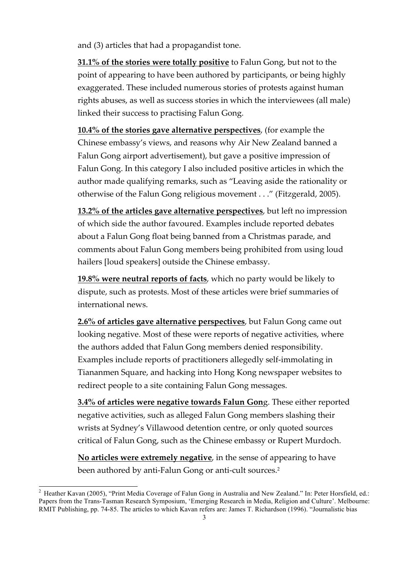and (3) articles that had a propagandist tone.

**31.1% of the stories were totally positive** to Falun Gong, but not to the point of appearing to have been authored by participants, or being highly exaggerated. These included numerous stories of protests against human rights abuses, as well as success stories in which the interviewees (all male) linked their success to practising Falun Gong.

**10.4% of the stories gave alternative perspectives**, (for example the Chinese embassy's views, and reasons why Air New Zealand banned a Falun Gong airport advertisement), but gave a positive impression of Falun Gong. In this category I also included positive articles in which the author made qualifying remarks, such as "Leaving aside the rationality or otherwise of the Falun Gong religious movement . . ." (Fitzgerald, 2005).

**13.2% of the articles gave alternative perspectives**, but left no impression of which side the author favoured. Examples include reported debates about a Falun Gong float being banned from a Christmas parade, and comments about Falun Gong members being prohibited from using loud hailers [loud speakers] outside the Chinese embassy.

**19.8% were neutral reports of facts**, which no party would be likely to dispute, such as protests. Most of these articles were brief summaries of international news.

**2.6% of articles gave alternative perspectives**, but Falun Gong came out looking negative. Most of these were reports of negative activities, where the authors added that Falun Gong members denied responsibility. Examples include reports of practitioners allegedly self-immolating in Tiananmen Square, and hacking into Hong Kong newspaper websites to redirect people to a site containing Falun Gong messages.

**3.4% of articles were negative towards Falun Gon**g. These either reported negative activities, such as alleged Falun Gong members slashing their wrists at Sydney's Villawood detention centre, or only quoted sources critical of Falun Gong, such as the Chinese embassy or Rupert Murdoch.

**No articles were extremely negative**, in the sense of appearing to have been authored by anti-Falun Gong or anti-cult sources.<sup>2</sup>

<sup>&</sup>lt;sup>2</sup> Heather Kavan (2005), "Print Media Coverage of Falun Gong in Australia and New Zealand." In: Peter Horsfield, ed.: Papers from the Trans-Tasman Research Symposium, 'Emerging Research in Media, Religion and Culture'. Melbourne: RMIT Publishing, pp. 74-85. The articles to which Kavan refers are: James T. Richardson (1996). "Journalistic bias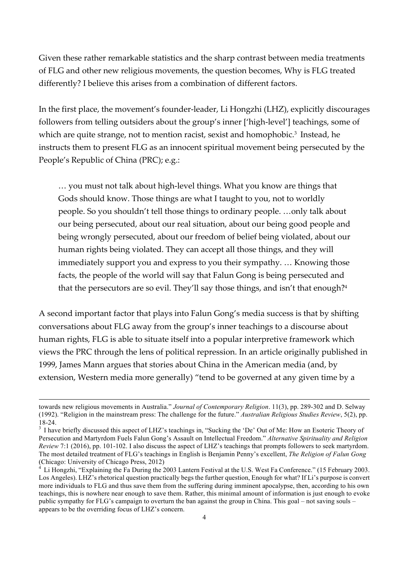Given these rather remarkable statistics and the sharp contrast between media treatments of FLG and other new religious movements, the question becomes, Why is FLG treated differently? I believe this arises from a combination of different factors.

In the first place, the movement's founder-leader, Li Hongzhi (LHZ), explicitly discourages followers from telling outsiders about the group's inner ['high-level'] teachings, some of which are quite strange, not to mention racist, sexist and homophobic.<sup>3</sup> Instead, he instructs them to present FLG as an innocent spiritual movement being persecuted by the People's Republic of China (PRC); e.g.:

… you must not talk about high-level things. What you know are things that Gods should know. Those things are what I taught to you, not to worldly people. So you shouldn't tell those things to ordinary people. …only talk about our being persecuted, about our real situation, about our being good people and being wrongly persecuted, about our freedom of belief being violated, about our human rights being violated. They can accept all those things, and they will immediately support you and express to you their sympathy. … Knowing those facts, the people of the world will say that Falun Gong is being persecuted and that the persecutors are so evil. They'll say those things, and isn't that enough?<sup>4</sup>

A second important factor that plays into Falun Gong's media success is that by shifting conversations about FLG away from the group's inner teachings to a discourse about human rights, FLG is able to situate itself into a popular interpretive framework which views the PRC through the lens of political repression. In an article originally published in 1999, James Mann argues that stories about China in the American media (and, by extension, Western media more generally) "tend to be governed at any given time by a

1

towards new religious movements in Australia." *Journal of Contemporary Religion*. 11(3), pp. 289-302 and D. Selway (1992). "Religion in the mainstream press: The challenge for the future." *Australian Religious Studies Review*, 5(2), pp. 18-24.<br><sup>3</sup> I have briefly discussed this aspect of LHZ's teachings in, "Sucking the 'De' Out of Me: How an Esoteric Theory of

Persecution and Martyrdom Fuels Falun Gong's Assault on Intellectual Freedom." *Alternative Spirituality and Religion Review* 7:1 (2016), pp. 101-102. I also discuss the aspect of LHZ's teachings that prompts followers to seek martyrdom. The most detailed treatment of FLG's teachings in English is Benjamin Penny's excellent, *The Religion of Falun Gong* (Chicago: University of Chicago Press, 2012)

<sup>4</sup> Li Hongzhi, "Explaining the Fa During the 2003 Lantern Festival at the U.S. West Fa Conference." (15 February 2003. Los Angeles). LHZ's rhetorical question practically begs the further question, Enough for what? If Li's purpose is convert more individuals to FLG and thus save them from the suffering during imminent apocalypse, then, according to his own teachings, this is nowhere near enough to save them. Rather, this minimal amount of information is just enough to evoke public sympathy for FLG's campaign to overturn the ban against the group in China. This goal – not saving souls – appears to be the overriding focus of LHZ's concern.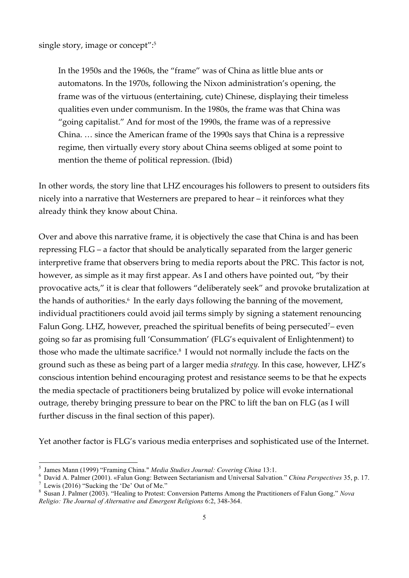single story, image or concept": 5

In the 1950s and the 1960s, the "frame" was of China as little blue ants or automatons. In the 1970s, following the Nixon administration's opening, the frame was of the virtuous (entertaining, cute) Chinese, displaying their timeless qualities even under communism. In the 1980s, the frame was that China was "going capitalist." And for most of the 1990s, the frame was of a repressive China. … since the American frame of the 1990s says that China is a repressive regime, then virtually every story about China seems obliged at some point to mention the theme of political repression. (Ibid)

In other words, the story line that LHZ encourages his followers to present to outsiders fits nicely into a narrative that Westerners are prepared to hear – it reinforces what they already think they know about China.

Over and above this narrative frame, it is objectively the case that China is and has been repressing FLG – a factor that should be analytically separated from the larger generic interpretive frame that observers bring to media reports about the PRC. This factor is not, however, as simple as it may first appear. As I and others have pointed out, "by their provocative acts," it is clear that followers "deliberately seek" and provoke brutalization at the hands of authorities.<sup>6</sup> In the early days following the banning of the movement, individual practitioners could avoid jail terms simply by signing a statement renouncing Falun Gong. LHZ, however, preached the spiritual benefits of being persecuted<sup>7</sup>– even going so far as promising full 'Consummation' (FLG's equivalent of Enlightenment) to those who made the ultimate sacrifice.8 I would not normally include the facts on the ground such as these as being part of a larger media *strategy.* In this case, however, LHZ's conscious intention behind encouraging protest and resistance seems to be that he expects the media spectacle of practitioners being brutalized by police will evoke international outrage, thereby bringing pressure to bear on the PRC to lift the ban on FLG (as I will further discuss in the final section of this paper).

Yet another factor is FLG's various media enterprises and sophisticated use of the Internet.

<sup>&</sup>lt;sup>5</sup> James Mann (1999) "Framing China." *Media Studies Journal: Covering China* 13:1.<br><sup>6</sup> David A. Palmer (2001). «Falun Gong: Between Sectarianism and Universal Salvation." *China Perspectives* 35, p. 17.<br><sup>7</sup> Lewis (2016)

*Religio: The Journal of Alternative and Emergent Religions* 6:2, 348-364.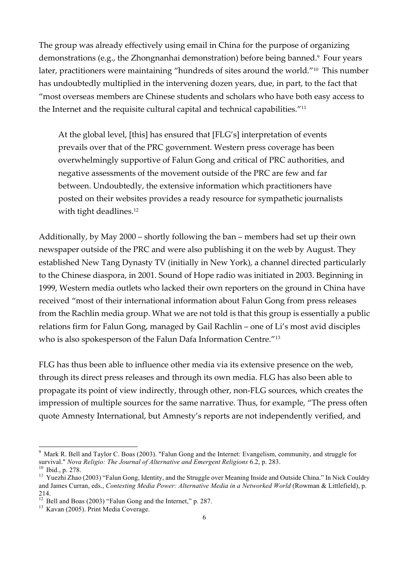The group was already effectively using email in China for the purpose of organizing demonstrations (e.g., the Zhongnanhai demonstration) before being banned.<sup>9</sup> Four years later, practitioners were maintaining "hundreds of sites around the world."<sup>10</sup> This number has undoubtedly multiplied in the intervening dozen years, due, in part, to the fact that "most overseas members are Chinese students and scholars who have both easy access to the Internet and the requisite cultural capital and technical capabilities."11

At the global level, [this] has ensured that [FLG's] interpretation of events prevails over that of the PRC government. Western press coverage has been overwhelmingly supportive of Falun Gong and critical of PRC authorities, and negative assessments of the movement outside of the PRC are few and far between. Undoubtedly, the extensive information which practitioners have posted on their websites provides a ready resource for sympathetic journalists with tight deadlines.<sup>12</sup>

Additionally, by May 2000 – shortly following the ban – members had set up their own newspaper outside of the PRC and were also publishing it on the web by August. They established New Tang Dynasty TV (initially in New York), a channel directed particularly to the Chinese diaspora, in 2001. Sound of Hope radio was initiated in 2003. Beginning in 1999, Western media outlets who lacked their own reporters on the ground in China have received "most of their international information about Falun Gong from press releases from the Rachlin media group. What we are not told is that this group is essentially a public relations firm for Falun Gong, managed by Gail Rachlin – one of Li's most avid disciples who is also spokesperson of the Falun Dafa Information Centre."13

FLG has thus been able to influence other media via its extensive presence on the web, through its direct press releases and through its own media. FLG has also been able to propagate its point of view indirectly, through other, non-FLG sources, which creates the impression of multiple sources for the same narrative. Thus, for example, "The press often quote Amnesty International, but Amnesty's reports are not independently verified, and

<sup>&</sup>lt;sup>9</sup> Mark R. Bell and Taylor C. Boas (2003). "Falun Gong and the Internet: Evangelism, community, and struggle for survival." *Nova Religio: The Journal of Alternative and Emergent Religions* 6.2, p. 283.

<sup>&</sup>lt;sup>10</sup> Ibid., p. 278.<br><sup>11</sup> Yuezhi Zhao (2003) "Falun Gong, Identity, and the Struggle over Meaning Inside and Outside China." In Nick Couldry and James Curran, eds., *Contesting Media Power: Alternative Media in a Networked World* (Rowman & Littlefield), p. 214.

<sup>&</sup>lt;sup>12</sup> Bell and Boas (2003) "Falun Gong and the Internet," p. 287.<br><sup>13</sup> Kavan (2005). Print Media Coverage.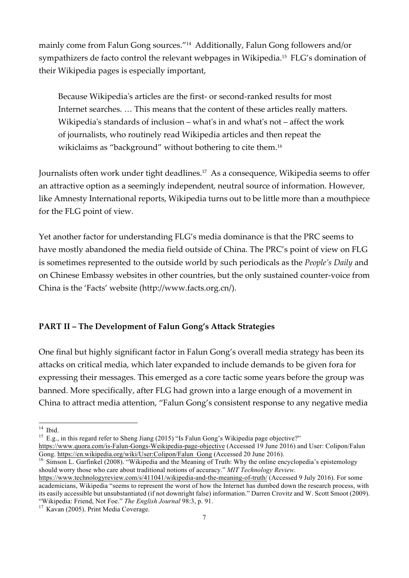mainly come from Falun Gong sources."14 Additionally, Falun Gong followers and/or sympathizers de facto control the relevant webpages in Wikipedia.15 FLG's domination of their Wikipedia pages is especially important,

Because Wikipedia's articles are the first- or second-ranked results for most Internet searches. … This means that the content of these articles really matters. Wikipedia's standards of inclusion – what's in and what's not – affect the work of journalists, who routinely read Wikipedia articles and then repeat the wikiclaims as "background" without bothering to cite them.<sup>16</sup>

Journalists often work under tight deadlines.<sup>17</sup> As a consequence, Wikipedia seems to offer an attractive option as a seemingly independent, neutral source of information. However, like Amnesty International reports, Wikipedia turns out to be little more than a mouthpiece for the FLG point of view.

Yet another factor for understanding FLG's media dominance is that the PRC seems to have mostly abandoned the media field outside of China. The PRC's point of view on FLG is sometimes represented to the outside world by such periodicals as the *People's Daily* and on Chinese Embassy websites in other countries, but the only sustained counter-voice from China is the 'Facts' website (http://www.facts.org.cn/).

## **PART II – The Development of Falun Gong's Attack Strategies**

One final but highly significant factor in Falun Gong's overall media strategy has been its attacks on critical media, which later expanded to include demands to be given fora for expressing their messages. This emerged as a core tactic some years before the group was banned. More specifically, after FLG had grown into a large enough of a movement in China to attract media attention, "Falun Gong's consistent response to any negative media

should worry those who care about traditional notions of accuracy." *MIT Technology Review.*

<sup>&</sup>lt;sup>14</sup> Ibid. <sup>15</sup> E.g., in this regard refer to Sheng Jiang (2015) "Is Falun Gong's Wikipedia page objective?"

https://www.quora.com/is-Falun-Gongs-Weikipedia-page-objective (Accessed 19 June 2016) and User: Colipon/Falun Gong. https://en.wikipedia.org/wiki/User:Colipon/Falun\_Gong (Accessed 20 June 2016). <sup>16</sup> Simson L. Garfinkel (2008). "Wikipedia and the Meaning of Truth: Why the online encyclopedia's epistemology

https://www.technologyreview.com/s/411041/wikipedia-and-the-meaning-of-truth/ (Accessed 9 July 2016). For some academicians, Wikipedia "seems to represent the worst of how the Internet has dumbed down the research process, with its easily accessible but unsubstantiated (if not downright false) information." Darren Crovitz and W. Scott Smoot (2009). "Wikipedia: Friend, Not Foe." *The English Journal* 98:3, p. 91. <sup>17</sup> Kavan (2005). Print Media Coverage.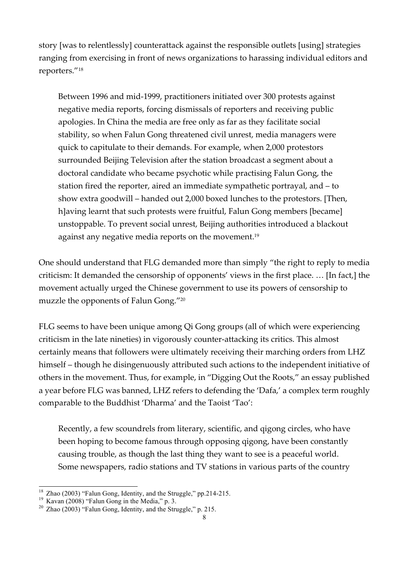story [was to relentlessly] counterattack against the responsible outlets [using] strategies ranging from exercising in front of news organizations to harassing individual editors and reporters."18

Between 1996 and mid-1999, practitioners initiated over 300 protests against negative media reports, forcing dismissals of reporters and receiving public apologies. In China the media are free only as far as they facilitate social stability, so when Falun Gong threatened civil unrest, media managers were quick to capitulate to their demands. For example, when 2,000 protestors surrounded Beijing Television after the station broadcast a segment about a doctoral candidate who became psychotic while practising Falun Gong, the station fired the reporter, aired an immediate sympathetic portrayal, and – to show extra goodwill – handed out 2,000 boxed lunches to the protestors. [Then, h]aving learnt that such protests were fruitful, Falun Gong members [became] unstoppable. To prevent social unrest, Beijing authorities introduced a blackout against any negative media reports on the movement.<sup>19</sup>

One should understand that FLG demanded more than simply "the right to reply to media criticism: It demanded the censorship of opponents' views in the first place. … [In fact,] the movement actually urged the Chinese government to use its powers of censorship to muzzle the opponents of Falun Gong."20

FLG seems to have been unique among Qi Gong groups (all of which were experiencing criticism in the late nineties) in vigorously counter-attacking its critics. This almost certainly means that followers were ultimately receiving their marching orders from LHZ himself – though he disingenuously attributed such actions to the independent initiative of others in the movement. Thus, for example, in "Digging Out the Roots," an essay published a year before FLG was banned, LHZ refers to defending the 'Dafa,' a complex term roughly comparable to the Buddhist 'Dharma' and the Taoist 'Tao':

Recently, a few scoundrels from literary, scientific, and qigong circles, who have been hoping to become famous through opposing qigong, have been constantly causing trouble, as though the last thing they want to see is a peaceful world. Some newspapers, radio stations and TV stations in various parts of the country

<sup>&</sup>lt;sup>18</sup> Zhao (2003) "Falun Gong, Identity, and the Struggle," pp.214-215.<br><sup>19</sup> Kavan (2008) "Falun Gong in the Media," p. 3.<br><sup>20</sup> Zhao (2003) "Falun Gong, Identity, and the Struggle," p. 215.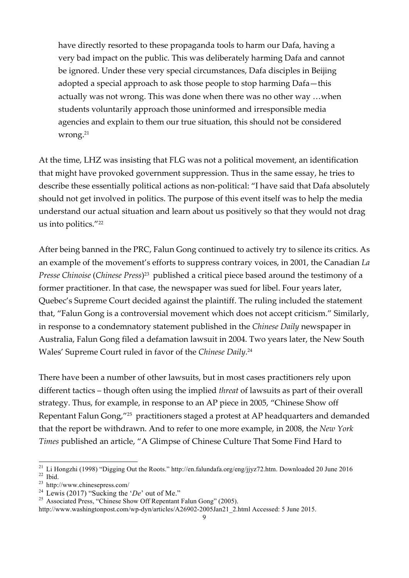have directly resorted to these propaganda tools to harm our Dafa, having a very bad impact on the public. This was deliberately harming Dafa and cannot be ignored. Under these very special circumstances, Dafa disciples in Beijing adopted a special approach to ask those people to stop harming Dafa—this actually was not wrong. This was done when there was no other way …when students voluntarily approach those uninformed and irresponsible media agencies and explain to them our true situation, this should not be considered wrong.21

At the time, LHZ was insisting that FLG was not a political movement, an identification that might have provoked government suppression. Thus in the same essay, he tries to describe these essentially political actions as non-political: "I have said that Dafa absolutely should not get involved in politics. The purpose of this event itself was to help the media understand our actual situation and learn about us positively so that they would not drag us into politics."22

After being banned in the PRC, Falun Gong continued to actively try to silence its critics. As an example of the movement's efforts to suppress contrary voices, in 2001, the Canadian *La Presse Chinoise* (*Chinese Press*)23 published a critical piece based around the testimony of a former practitioner. In that case, the newspaper was sued for libel. Four years later, Quebec's Supreme Court decided against the plaintiff. The ruling included the statement that, "Falun Gong is a controversial movement which does not accept criticism." Similarly, in response to a condemnatory statement published in the *Chinese Daily* newspaper in Australia, Falun Gong filed a defamation lawsuit in 2004. Two years later, the New South Wales' Supreme Court ruled in favor of the *Chinese Daily*. 24

There have been a number of other lawsuits, but in most cases practitioners rely upon different tactics – though often using the implied *threat* of lawsuits as part of their overall strategy. Thus, for example, in response to an AP piece in 2005, "Chinese Show off Repentant Falun Gong,"25 practitioners staged a protest at AP headquarters and demanded that the report be withdrawn. And to refer to one more example, in 2008, the *New York Times* published an article, "A Glimpse of Chinese Culture That Some Find Hard to

<sup>&</sup>lt;sup>21</sup> Li Hongzhi (1998) "Digging Out the Roots." http://en.falundafa.org/eng/jjyz72.htm. Downloaded 20 June 2016<br><sup>22</sup> Ibid. 23 http://www.chinesepress.com/<br><sup>24</sup> Lewis (2017) "Sucking the '*De*' out of Me."

<sup>&</sup>lt;sup>25</sup> Associated Press, "Chinese Show Off Repentant Falun Gong" (2005).

http://www.washingtonpost.com/wp-dyn/articles/A26902-2005Jan21\_2.html Accessed: 5 June 2015.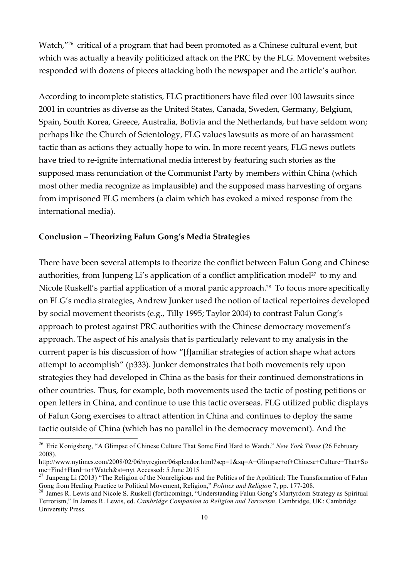Watch,"<sup>26</sup> critical of a program that had been promoted as a Chinese cultural event, but which was actually a heavily politicized attack on the PRC by the FLG. Movement websites responded with dozens of pieces attacking both the newspaper and the article's author.

According to incomplete statistics, FLG practitioners have filed over 100 lawsuits since 2001 in countries as diverse as the United States, Canada, Sweden, Germany, Belgium, Spain, South Korea, Greece, Australia, Bolivia and the Netherlands, but have seldom won; perhaps like the Church of Scientology, FLG values lawsuits as more of an harassment tactic than as actions they actually hope to win. In more recent years, FLG news outlets have tried to re-ignite international media interest by featuring such stories as the supposed mass renunciation of the Communist Party by members within China (which most other media recognize as implausible) and the supposed mass harvesting of organs from imprisoned FLG members (a claim which has evoked a mixed response from the international media).

## **Conclusion – Theorizing Falun Gong's Media Strategies**

There have been several attempts to theorize the conflict between Falun Gong and Chinese authorities, from Junpeng Li's application of a conflict amplification model<sup>27</sup> to my and Nicole Ruskell's partial application of a moral panic approach.<sup>28</sup> To focus more specifically on FLG's media strategies, Andrew Junker used the notion of tactical repertoires developed by social movement theorists (e.g., Tilly 1995; Taylor 2004) to contrast Falun Gong's approach to protest against PRC authorities with the Chinese democracy movement's approach. The aspect of his analysis that is particularly relevant to my analysis in the current paper is his discussion of how "[f]amiliar strategies of action shape what actors attempt to accomplish" (p333). Junker demonstrates that both movements rely upon strategies they had developed in China as the basis for their continued demonstrations in other countries. Thus, for example, both movements used the tactic of posting petitions or open letters in China, and continue to use this tactic overseas. FLG utilized public displays of Falun Gong exercises to attract attention in China and continues to deploy the same tactic outside of China (which has no parallel in the democracy movement). And the

 <sup>26</sup> Eric Konigsberg, "A Glimpse of Chinese Culture That Some Find Hard to Watch." *New York Times* (26 February 2008).

http://www.nytimes.com/2008/02/06/nyregion/06splendor.html?scp=1&sq=A+Glimpse+of+Chinese+Culture+That+So me+Find+Hard+to+Watch&st=nyt Accessed: 5 June 2015<br><sup>27</sup> Junpeng Li (2013) "The Religion of the Nonreligious and the Politics of the Apolitical: The Transformation of Falun

Gong from Healing Practice to Political Movement, Religion," *Politics and Religion* 7, pp. 177-208.<br><sup>28</sup> James R. Lewis and Nicole S. Ruskell (forthcoming), "Understanding Falun Gong's Martyrdom Strategy as Spiritual

Terrorism," In James R. Lewis, ed. *Cambridge Companion to Religion and Terrorism*. Cambridge, UK: Cambridge University Press.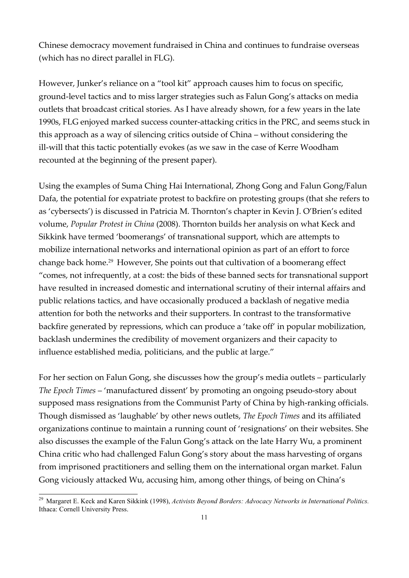Chinese democracy movement fundraised in China and continues to fundraise overseas (which has no direct parallel in FLG).

However, Junker's reliance on a "tool kit" approach causes him to focus on specific, ground-level tactics and to miss larger strategies such as Falun Gong's attacks on media outlets that broadcast critical stories. As I have already shown, for a few years in the late 1990s, FLG enjoyed marked success counter-attacking critics in the PRC, and seems stuck in this approach as a way of silencing critics outside of China – without considering the ill-will that this tactic potentially evokes (as we saw in the case of Kerre Woodham recounted at the beginning of the present paper).

Using the examples of Suma Ching Hai International, Zhong Gong and Falun Gong/Falun Dafa, the potential for expatriate protest to backfire on protesting groups (that she refers to as 'cybersects') is discussed in Patricia M. Thornton's chapter in Kevin J. O'Brien's edited volume, *Popular Protest in China* (2008). Thornton builds her analysis on what Keck and Sikkink have termed 'boomerangs' of transnational support, which are attempts to mobilize international networks and international opinion as part of an effort to force change back home.<sup>29</sup> However, She points out that cultivation of a boomerang effect "comes, not infrequently, at a cost: the bids of these banned sects for transnational support have resulted in increased domestic and international scrutiny of their internal affairs and public relations tactics, and have occasionally produced a backlash of negative media attention for both the networks and their supporters. In contrast to the transformative backfire generated by repressions, which can produce a 'take off' in popular mobilization, backlash undermines the credibility of movement organizers and their capacity to influence established media, politicians, and the public at large."

For her section on Falun Gong, she discusses how the group's media outlets – particularly *The Epoch Times* – 'manufactured dissent' by promoting an ongoing pseudo-story about supposed mass resignations from the Communist Party of China by high-ranking officials. Though dismissed as 'laughable' by other news outlets, *The Epoch Times* and its affiliated organizations continue to maintain a running count of 'resignations' on their websites. She also discusses the example of the Falun Gong's attack on the late Harry Wu, a prominent China critic who had challenged Falun Gong's story about the mass harvesting of organs from imprisoned practitioners and selling them on the international organ market. Falun Gong viciously attacked Wu, accusing him, among other things, of being on China's

 <sup>29</sup> Margaret E. Keck and Karen Sikkink (1998), *Activists Beyond Borders: Advocacy Networks in International Politics.* Ithaca: Cornell University Press.